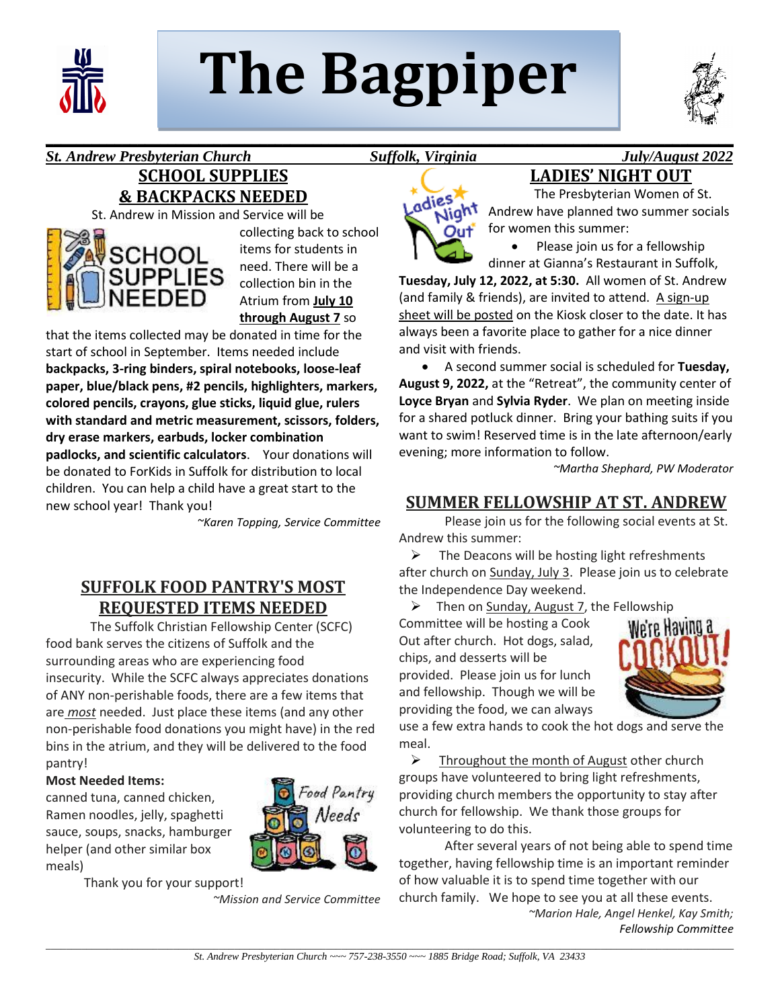

# **The Bagpiper**

**\_\_\_\_\_\_\_\_\_\_\_\_\_\_\_\_\_\_\_\_\_\_\_\_\_\_\_\_\_\_\_\_\_\_\_\_\_\_\_\_\_\_\_\_\_\_\_\_\_\_\_\_\_\_\_\_\_\_\_\_\_\_\_\_\_\_\_\_\_\_\_\_\_\_\_\_\_\_\_\_\_\_\_\_\_\_\_\_\_\_**



*St. Andrew Presbyterian Church Suffolk, Virginia July/August 2022* 

## **SCHOOL SUPPLIES & BACKPACKS NEEDED**

St. Andrew in Mission and Service will be



collecting back to school items for students in need. There will be a collection bin in the Atrium from **July 10 through August 7** so

that the items collected may be donated in time for the start of school in September. Items needed include **backpacks, 3-ring binders, spiral notebooks, loose-leaf paper, blue/black pens, #2 pencils, highlighters, markers, colored pencils, crayons, glue sticks, liquid glue, rulers with standard and metric measurement, scissors, folders, dry erase markers, earbuds, locker combination padlocks, and scientific calculators**. Your donations will be donated to ForKids in Suffolk for distribution to local children. You can help a child have a great start to the new school year! Thank you!

*~Karen Topping, Service Committee*

## **SUFFOLK FOOD PANTRY'S MOST REQUESTED ITEMS NEEDED**

 The Suffolk Christian Fellowship Center (SCFC) food bank serves the citizens of Suffolk and the surrounding areas who are experiencing food insecurity. While the SCFC always appreciates donations of ANY non-perishable foods, there are a few items that are *most* needed. Just place these items (and any other non-perishable food donations you might have) in the red bins in the atrium, and they will be delivered to the food pantry!

#### **Most Needed Items:**

canned tuna, canned chicken, Ramen noodles, jelly, spaghetti sauce, soups, snacks, hamburger helper (and other similar box meals)

Thank you for your support!



*~Mission and Service Committee*

adies Night

Andrew have planned two summer socials for women this summer: Please join us for a fellowship

**LADIES' NIGHT OUT** The Presbyterian Women of St.

dinner at Gianna's Restaurant in Suffolk,

**Tuesday, July 12, 2022, at 5:30.** All women of St. Andrew (and family & friends), are invited to attend. A sign-up sheet will be posted on the Kiosk closer to the date. It has always been a favorite place to gather for a nice dinner and visit with friends.

• A second summer social is scheduled for **Tuesday, August 9, 2022,** at the "Retreat", the community center of **Loyce Bryan** and **Sylvia Ryder**. We plan on meeting inside for a shared potluck dinner. Bring your bathing suits if you want to swim! Reserved time is in the late afternoon/early evening; more information to follow.

*~Martha Shephard, PW Moderator*

## **SUMMER FELLOWSHIP AT ST. ANDREW**

Please join us for the following social events at St. Andrew this summer:

 $\triangleright$  The Deacons will be hosting light refreshments after church on Sunday, July 3. Please join us to celebrate the Independence Day weekend.

 $\triangleright$  Then on Sunday, August 7, the Fellowship

Committee will be hosting a Cook Out after church. Hot dogs, salad, chips, and desserts will be provided. Please join us for lunch and fellowship. Though we will be providing the food, we can always



use a few extra hands to cook the hot dogs and serve the meal.

 $\triangleright$  Throughout the month of August other church groups have volunteered to bring light refreshments, providing church members the opportunity to stay after church for fellowship. We thank those groups for volunteering to do this.

After several years of not being able to spend time together, having fellowship time is an important reminder of how valuable it is to spend time together with our church family. We hope to see you at all these events.

*~Marion Hale, Angel Henkel, Kay Smith; Fellowship Committee*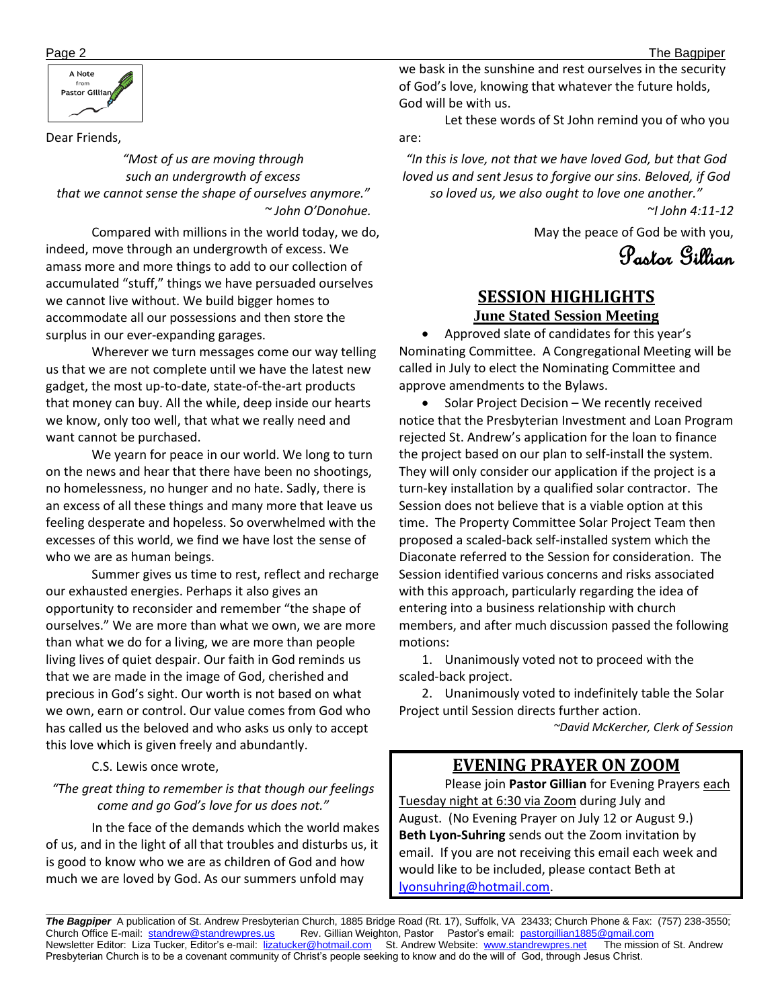

Dear Friends,

*"Most of us are moving through such an undergrowth of excess that we cannot sense the shape of ourselves anymore." ~ John O'Donohue.*

 Compared with millions in the world today, we do, indeed, move through an undergrowth of excess. We amass more and more things to add to our collection of accumulated "stuff," things we have persuaded ourselves we cannot live without. We build bigger homes to accommodate all our possessions and then store the surplus in our ever-expanding garages.

Wherever we turn messages come our way telling us that we are not complete until we have the latest new gadget, the most up-to-date, state-of-the-art products that money can buy. All the while, deep inside our hearts we know, only too well, that what we really need and want cannot be purchased.

We yearn for peace in our world. We long to turn on the news and hear that there have been no shootings, no homelessness, no hunger and no hate. Sadly, there is an excess of all these things and many more that leave us feeling desperate and hopeless. So overwhelmed with the excesses of this world, we find we have lost the sense of who we are as human beings.

Summer gives us time to rest, reflect and recharge our exhausted energies. Perhaps it also gives an opportunity to reconsider and remember "the shape of ourselves." We are more than what we own, we are more than what we do for a living, we are more than people living lives of quiet despair. Our faith in God reminds us that we are made in the image of God, cherished and precious in God's sight. Our worth is not based on what we own, earn or control. Our value comes from God who has called us the beloved and who asks us only to accept this love which is given freely and abundantly.

#### C.S. Lewis once wrote,

#### *"The great thing to remember is that though our feelings come and go God's love for us does not."*

 In the face of the demands which the world makes of us, and in the light of all that troubles and disturbs us, it is good to know who we are as children of God and how much we are loved by God. As our summers unfold may

we bask in the sunshine and rest ourselves in the security of God's love, knowing that whatever the future holds, God will be with us.

Let these words of St John remind you of who you are:

*"In this is love, not that we have loved God, but that God loved us and sent Jesus to forgive our sins. Beloved, if God so loved us, we also ought to love one another."* 

*~I John 4:11-12*

May the peace of God be with you,

Pastor Gillian

## **SESSION HIGHLIGHTS June Stated Session Meeting**

• Approved slate of candidates for this year's Nominating Committee. A Congregational Meeting will be called in July to elect the Nominating Committee and approve amendments to the Bylaws.

• Solar Project Decision – We recently received notice that the Presbyterian Investment and Loan Program rejected St. Andrew's application for the loan to finance the project based on our plan to self-install the system. They will only consider our application if the project is a turn-key installation by a qualified solar contractor. The Session does not believe that is a viable option at this time. The Property Committee Solar Project Team then proposed a scaled-back self-installed system which the Diaconate referred to the Session for consideration. The Session identified various concerns and risks associated with this approach, particularly regarding the idea of entering into a business relationship with church members, and after much discussion passed the following motions:

1. Unanimously voted not to proceed with the scaled-back project.

2. Unanimously voted to indefinitely table the Solar Project until Session directs further action.

*~David McKercher, Clerk of Session*

## **EVENING PRAYER ON ZOOM**

Please join Pastor Gillian for Evening Prayers each Tuesday night at 6:30 via Zoom during July and August. (No Evening Prayer on July 12 or August 9.) **Beth Lyon-Suhring** sends out the Zoom invitation by email. If you are not receiving this email each week and would like to be included, please contact Beth at [lyonsuhring@hotmail.com.](mailto:lyonsuhring@hotmail.com)

*The Bagpiper* A publication of St. Andrew Presbyterian Church, 1885 Bridge Road (Rt. 17), Suffolk, VA 23433; Church Phone & Fax: (757) 238-3550; Church Office E-mail: [standrew@standrewpres.us](mailto:standrew@standrewpres.us) Rev. Gillian Weighton, Pastor Pastor's email: [pastorgillian1885@gmail.com](mailto:pastorgillian1885@gmail.com) Newsletter Editor: Liza Tucker, Editor's e-mail: [lizatucker@hotmail.com](mailto:lizatucker@hotmail.com) St. Andrew Website: [www.standrewpres.net](http://www.standrewpres.net/) The mission of St. Andrew Presbyterian Church is to be a covenant community of Christ's people seeking to know and do the will of God, through Jesus Christ.

**\_\_\_\_\_\_\_\_\_\_\_\_\_\_\_\_\_\_\_\_\_\_\_\_\_\_\_\_\_\_\_\_\_\_\_\_\_\_\_\_\_\_\_\_\_\_\_\_\_\_\_\_\_\_\_\_\_\_\_\_\_\_\_\_\_\_\_\_\_\_\_\_\_\_\_\_\_\_\_\_\_\_\_\_\_\_\_\_\_\_\_\_\_\_\_\_\_\_\_\_\_\_\_\_\_\_\_\_\_\_\_\_\_\_\_\_\_\_\_\_\_**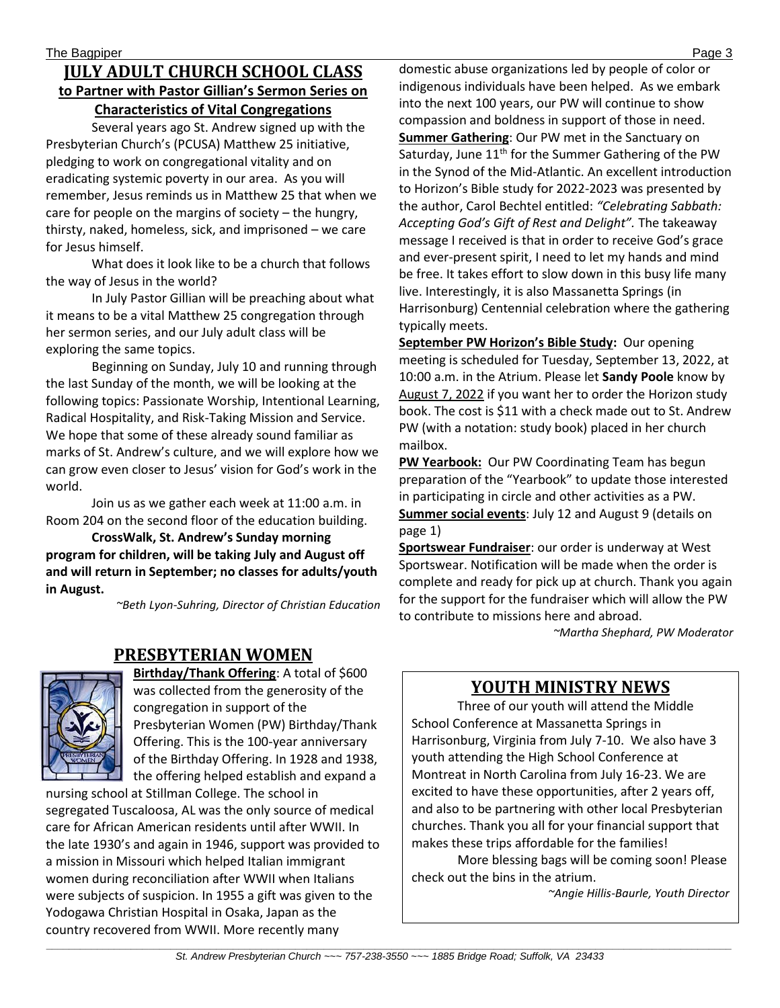### **JULY ADULT CHURCH SCHOOL CLASS to Partner with Pastor Gillian's Sermon Series on Characteristics of Vital Congregations**

Several years ago St. Andrew signed up with the Presbyterian Church's (PCUSA) Matthew 25 initiative, pledging to work on congregational vitality and on eradicating systemic poverty in our area. As you will remember, Jesus reminds us in Matthew 25 that when we care for people on the margins of society – the hungry, thirsty, naked, homeless, sick, and imprisoned – we care for Jesus himself.

What does it look like to be a church that follows the way of Jesus in the world?

In July Pastor Gillian will be preaching about what it means to be a vital Matthew 25 congregation through her sermon series, and our July adult class will be exploring the same topics.

Beginning on Sunday, July 10 and running through the last Sunday of the month, we will be looking at the following topics: Passionate Worship, Intentional Learning, Radical Hospitality, and Risk-Taking Mission and Service. We hope that some of these already sound familiar as marks of St. Andrew's culture, and we will explore how we can grow even closer to Jesus' vision for God's work in the world.

Join us as we gather each week at 11:00 a.m. in Room 204 on the second floor of the education building.

**CrossWalk, St. Andrew's Sunday morning program for children, will be taking July and August off and will return in September; no classes for adults/youth in August.**

*~Beth Lyon-Suhring, Director of Christian Education*

## **PRESBYTERIAN WOMEN**



**Birthday/Thank Offering**: A total of \$600 was collected from the generosity of the congregation in support of the Presbyterian Women (PW) Birthday/Thank Offering. This is the 100-year anniversary of the Birthday Offering. In 1928 and 1938, the offering helped establish and expand a

nursing school at Stillman College. The school in segregated Tuscaloosa, AL was the only source of medical care for African American residents until after WWII. In the late 1930's and again in 1946, support was provided to a mission in Missouri which helped Italian immigrant women during reconciliation after WWII when Italians were subjects of suspicion. In 1955 a gift was given to the Yodogawa Christian Hospital in Osaka, Japan as the country recovered from WWII. More recently many

domestic abuse organizations led by people of color or indigenous individuals have been helped. As we embark into the next 100 years, our PW will continue to show compassion and boldness in support of those in need. **Summer Gathering**: Our PW met in the Sanctuary on Saturday, June 11<sup>th</sup> for the Summer Gathering of the PW in the Synod of the Mid-Atlantic. An excellent introduction to Horizon's Bible study for 2022-2023 was presented by the author, Carol Bechtel entitled: *"Celebrating Sabbath: Accepting God's Gift of Rest and Delight".* The takeaway message I received is that in order to receive God's grace and ever-present spirit, I need to let my hands and mind be free. It takes effort to slow down in this busy life many live. Interestingly, it is also Massanetta Springs (in Harrisonburg) Centennial celebration where the gathering typically meets.

**September PW Horizon's Bible Study:** Our opening meeting is scheduled for Tuesday, September 13, 2022, at 10:00 a.m. in the Atrium. Please let **Sandy Poole** know by August 7, 2022 if you want her to order the Horizon study book. The cost is \$11 with a check made out to St. Andrew PW (with a notation: study book) placed in her church mailbox.

**PW Yearbook:** Our PW Coordinating Team has begun preparation of the "Yearbook" to update those interested in participating in circle and other activities as a PW. **Summer social events**: July 12 and August 9 (details on page 1)

**Sportswear Fundraiser**: our order is underway at West Sportswear. Notification will be made when the order is complete and ready for pick up at church. Thank you again for the support for the fundraiser which will allow the PW to contribute to missions here and abroad.

*~Martha Shephard, PW Moderator*

## **YOUTH MINISTRY NEWS**

Three of our youth will attend the Middle School Conference at Massanetta Springs in Harrisonburg, Virginia from July 7-10. We also have 3 youth attending the High School Conference at Montreat in North Carolina from July 16-23. We are excited to have these opportunities, after 2 years off, and also to be partnering with other local Presbyterian churches. Thank you all for your financial support that makes these trips affordable for the families!

More blessing bags will be coming soon! Please check out the bins in the atrium.

*~Angie Hillis-Baurle, Youth Director*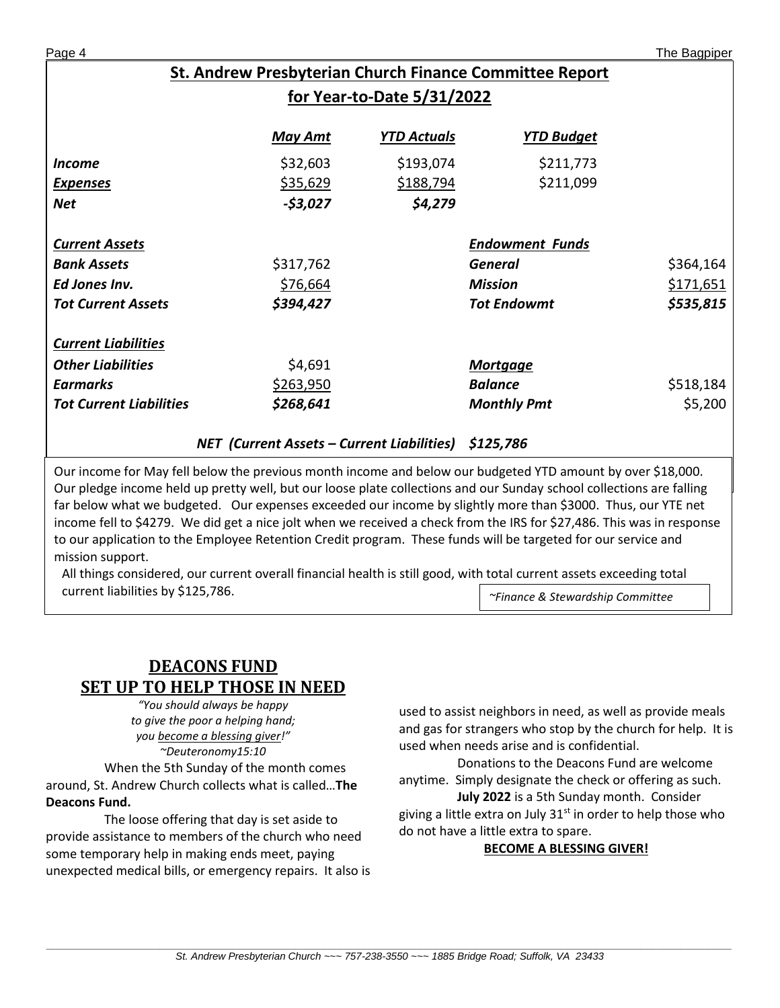## **St. Andrew Presbyterian Church Finance Committee Report for Year-to-Date 5/31/2022**

|                                | <b>May Amt</b>                                    | <u>YTD Actuals</u> | <u>YTD Budget</u>      |           |
|--------------------------------|---------------------------------------------------|--------------------|------------------------|-----------|
| <i>Income</i>                  | \$32,603                                          | \$193,074          | \$211,773              |           |
| <b>Expenses</b>                | \$35,629                                          | \$188,794          | \$211,099              |           |
| <b>Net</b>                     | $-53,027$                                         | \$4,279            |                        |           |
| <b>Current Assets</b>          |                                                   |                    | <b>Endowment Funds</b> |           |
| <b>Bank Assets</b>             | \$317,762                                         |                    | General                | \$364,164 |
|                                |                                                   |                    |                        |           |
| Ed Jones Inv.                  | \$76,664                                          |                    | <b>Mission</b>         | \$171,651 |
| <b>Tot Current Assets</b>      | \$394,427                                         |                    | <b>Tot Endowmt</b>     | \$535,815 |
| <b>Current Liabilities</b>     |                                                   |                    |                        |           |
| <b>Other Liabilities</b>       | \$4,691                                           |                    | <b>Mortgage</b>        |           |
| <b>Earmarks</b>                | \$263,950                                         |                    | <b>Balance</b>         | \$518,184 |
| <b>Tot Current Liabilities</b> | \$268,641                                         |                    | <b>Monthly Pmt</b>     | \$5,200   |
|                                | <b>NET</b> (Current Assets – Current Liabilities) |                    | \$125,786              |           |

Our income for May fell below the previous month income and below our budgeted YTD amount by over \$18,000. Our pledge income held up pretty well, but our loose plate collections and our Sunday school collections are falling far below what we budgeted. Our expenses exceeded our income by slightly more than \$3000. Thus, our YTE net income fell to \$4279. We did get a nice jolt when we received a check from the IRS for \$27,486. This was in response to our application to the Employee Retention Credit program. These funds will be targeted for our service and mission support.

All things considered, our current overall financial health is still good, with total current assets exceeding total current liabilities by \$125,786. *~Finance & Stewardship Committee*

## **DEACONS FUND SET UP TO HELP THOSE IN NEED**

*"You should always be happy to give the poor a helping hand; you become a blessing giver!" ~Deuteronomy15:10*

When the 5th Sunday of the month comes around, St. Andrew Church collects what is called…**The Deacons Fund.**

The loose offering that day is set aside to provide assistance to members of the church who need some temporary help in making ends meet, paying unexpected medical bills, or emergency repairs. It also is used to assist neighbors in need, as well as provide meals and gas for strangers who stop by the church for help. It is used when needs arise and is confidential.

Donations to the Deacons Fund are welcome anytime. Simply designate the check or offering as such. **July 2022** is a 5th Sunday month. Consider giving a little extra on July  $31<sup>st</sup>$  in order to help those who do not have a little extra to spare.

#### **BECOME A BLESSING GIVER!**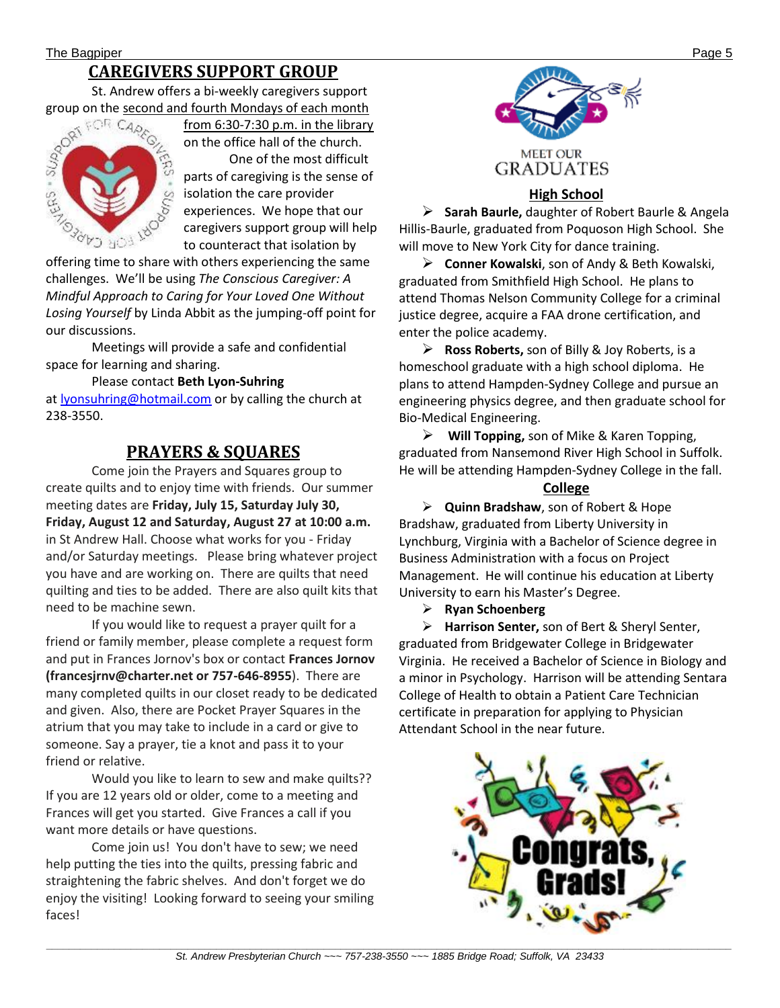## **CAREGIVERS SUPPORT GROUP**

St. Andrew offers a bi-weekly caregivers support



from 6:30-7:30 p.m. in the library on the office hall of the church.

One of the most difficult parts of caregiving is the sense of isolation the care provider experiences. We hope that our caregivers support group will help to counteract that isolation by

offering time to share with others experiencing the same challenges. We'll be using *The Conscious Caregiver: A Mindful Approach to Caring for Your Loved One Without Losing Yourself* by Linda Abbit as the jumping-off point for our discussions.

Meetings will provide a safe and confidential space for learning and sharing.

#### Please contact **Beth Lyon-Suhring** at [lyonsuhring@hotmail.com](mailto:lyonsuhring@hotmail.com) or by calling the church at 238-3550.

## **PRAYERS & SQUARES**

Come join the Prayers and Squares group to create quilts and to enjoy time with friends. Our summer meeting dates are **Friday, July 15, Saturday July 30, Friday, August 12 and Saturday, August 27 at 10:00 a.m.** in St Andrew Hall. Choose what works for you - Friday and/or Saturday meetings. Please bring whatever project you have and are working on. There are quilts that need quilting and ties to be added. There are also quilt kits that need to be machine sewn.

 If you would like to request a prayer quilt for a friend or family member, please complete a request form and put in Frances Jornov's box or contact **Frances Jornov (francesjrnv@charter.net or 757-646-8955**). There are many completed quilts in our closet ready to be dedicated and given. Also, there are Pocket Prayer Squares in the atrium that you may take to include in a card or give to someone. Say a prayer, tie a knot and pass it to your friend or relative.

Would you like to learn to sew and make quilts?? If you are 12 years old or older, come to a meeting and Frances will get you started. Give Frances a call if you want more details or have questions.

 Come join us! You don't have to sew; we need help putting the ties into the quilts, pressing fabric and straightening the fabric shelves. And don't forget we do enjoy the visiting! Looking forward to seeing your smiling faces!



#### **High School**

➢ **Sarah Baurle,** daughter of Robert Baurle & Angela Hillis-Baurle, graduated from Poquoson High School. She will move to New York City for dance training.

➢ **Conner Kowalski**, son of Andy & Beth Kowalski, graduated from Smithfield High School. He plans to attend Thomas Nelson Community College for a criminal justice degree, acquire a FAA drone certification, and enter the police academy.

➢ **Ross Roberts,** son of Billy & Joy Roberts, is a homeschool graduate with a high school diploma. He plans to attend Hampden-Sydney College and pursue an engineering physics degree, and then graduate school for Bio-Medical Engineering.

➢ **Will Topping,** son of Mike & Karen Topping, graduated from Nansemond River High School in Suffolk. He will be attending Hampden-Sydney College in the fall.

#### **College**

➢ **Quinn Bradshaw**, son of Robert & Hope Bradshaw, graduated from Liberty University in Lynchburg, Virginia with a Bachelor of Science degree in Business Administration with a focus on Project Management. He will continue his education at Liberty University to earn his Master's Degree.

➢ **Ryan Schoenberg**

➢ **Harrison Senter,** son of Bert & Sheryl Senter, graduated from Bridgewater College in Bridgewater Virginia. He received a Bachelor of Science in Biology and a minor in Psychology. Harrison will be attending Sentara College of Health to obtain a Patient Care Technician certificate in preparation for applying to Physician Attendant School in the near future.

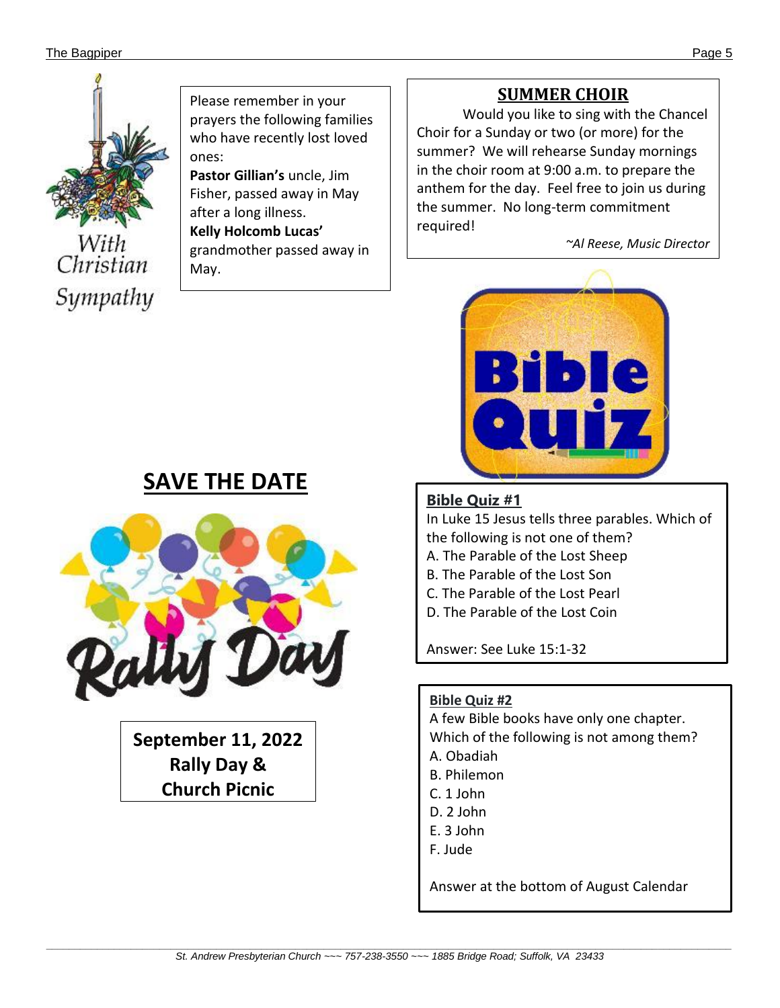#### The Bagpiper Page 5 (1996) and the Bagpiper Page 5 (1997) and the Bagpiper Page 5 (1997) and the Bagpiper Page 5 (1997) and the Bagpiper Page 5 (1997) and the Bagpiper Page 5 (1997) and the Bagpiper Page 5 (1997) and the B



Christian Sympathy Please remember in your prayers the following families who have recently lost loved ones:

**Pastor Gillian's** uncle, Jim Fisher, passed away in May after a long illness.

**Kelly Holcomb Lucas'**  grandmother passed away in May.

## **SUMMER CHOIR**

Would you like to sing with the Chancel Choir for a Sunday or two (or more) for the summer? We will rehearse Sunday mornings in the choir room at 9:00 a.m. to prepare the anthem for the day. Feel free to join us during the summer. No long-term commitment required!

*~Al Reese, Music Director*



## **Bible Quiz #1**

In Luke 15 Jesus tells three parables. Which of the following is not one of them?

- A. The Parable of the Lost Sheep
- B. The Parable of the Lost Son
- C. The Parable of the Lost Pearl
- D. The Parable of the Lost Coin

Answer: See Luke 15:1-32

## **Bible Quiz #2**

A few Bible books have only one chapter. Which of the following is not among them? A. Obadiah B. Philemon C. 1 John D. 2 John E. 3 John F. Jude

Answer at the bottom of August Calendar

## **SAVE THE DATE**



**September 11, 2022 Rally Day & Church Picnic**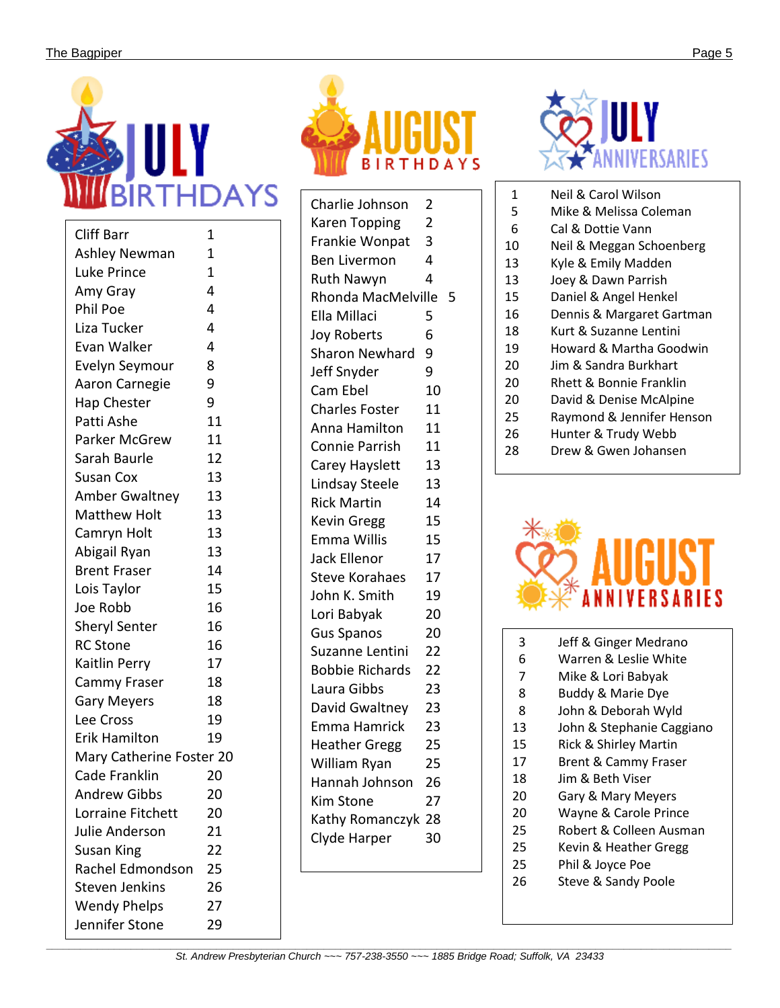

| <b>Cliff Barr</b>        | 1  |  |  |  |  |
|--------------------------|----|--|--|--|--|
| Ashley Newman            | 1  |  |  |  |  |
| Luke Prince              | 1  |  |  |  |  |
| Amy Gray                 | 4  |  |  |  |  |
| Phil Poe                 | 4  |  |  |  |  |
| Liza Tucker              | 4  |  |  |  |  |
| Evan Walker              | 4  |  |  |  |  |
| Evelyn Seymour           | 8  |  |  |  |  |
| Aaron Carnegie           | 9  |  |  |  |  |
| Hap Chester              | 9  |  |  |  |  |
| Patti Ashe               | 11 |  |  |  |  |
| Parker McGrew            | 11 |  |  |  |  |
| Sarah Baurle             | 12 |  |  |  |  |
| <b>Susan Cox</b>         | 13 |  |  |  |  |
| <b>Amber Gwaltney</b>    | 13 |  |  |  |  |
| <b>Matthew Holt</b>      | 13 |  |  |  |  |
| Camryn Holt              | 13 |  |  |  |  |
| Abigail Ryan             | 13 |  |  |  |  |
| <b>Brent Fraser</b>      | 14 |  |  |  |  |
| Lois Taylor              | 15 |  |  |  |  |
| Joe Robb                 | 16 |  |  |  |  |
| <b>Sheryl Senter</b>     | 16 |  |  |  |  |
| <b>RC</b> Stone          | 16 |  |  |  |  |
| Kaitlin Perry            | 17 |  |  |  |  |
| Cammy Fraser             | 18 |  |  |  |  |
| <b>Gary Meyers</b>       | 18 |  |  |  |  |
| Lee Cross                | 19 |  |  |  |  |
| Erik Hamilton            | 19 |  |  |  |  |
| Mary Catherine Foster 20 |    |  |  |  |  |
| Cade Franklin            | 20 |  |  |  |  |
| <b>Andrew Gibbs</b>      | 20 |  |  |  |  |
| Lorraine Fitchett        | 20 |  |  |  |  |
| Julie Anderson           | 21 |  |  |  |  |
| Susan King               | 22 |  |  |  |  |
| Rachel Edmondson         | 25 |  |  |  |  |
| Steven Jenkins           | 26 |  |  |  |  |
| <b>Wendy Phelps</b>      | 27 |  |  |  |  |
| Jennifer Stone           | 29 |  |  |  |  |



| Charlie Johnson        | $\overline{2}$ |
|------------------------|----------------|
| Karen Topping          | $\overline{2}$ |
| Frankie Wonpat         | 3              |
| <b>Ben Livermon</b>    | 4              |
| <b>Ruth Nawyn</b>      | 4              |
| Rhonda MacMelville     | 5              |
| Ella Millaci           | 5              |
| <b>Joy Roberts</b>     | 6              |
| <b>Sharon Newhard</b>  | 9              |
| Jeff Snyder            | 9              |
| Cam Ebel               | 10             |
| <b>Charles Foster</b>  | 11             |
| Anna Hamilton          | 11             |
| <b>Connie Parrish</b>  | 11             |
| Carey Hayslett         | 13             |
| <b>Lindsay Steele</b>  | 13             |
| <b>Rick Martin</b>     | 14             |
| <b>Kevin Gregg</b>     | 15             |
| <b>Emma Willis</b>     | 15             |
| Jack Ellenor           | 17             |
| <b>Steve Korahaes</b>  | 17             |
| John K. Smith          | 19             |
| Lori Babyak            | 20             |
| <b>Gus Spanos</b>      | 20             |
| Suzanne Lentini        | 22             |
| <b>Bobbie Richards</b> | 22             |
| Laura Gibbs            | 23             |
| David Gwaltney         | 23             |
| Emma Hamrick           | 23             |
| <b>Heather Gregg</b>   | 25             |
| William Ryan           | 25             |
| Hannah Johnson         | 26             |
| <b>Kim Stone</b>       | 27             |
| Kathy Romanczyk        | 28             |
| Clyde Harper           | 30             |
|                        |                |



- 1 Neil & Carol Wilson
- 5 Mike & Melissa Coleman
- 6 Cal & Dottie Vann
- 10 Neil & Meggan Schoenberg
- 13 Kyle & Emily Madden 13 Joey & Dawn Parrish
- 15 Daniel & Angel Henkel
- 16 Dennis & Margaret Gartman
- 18 Kurt & Suzanne Lentini
- 19 Howard & Martha Goodwin
- 20 Jim & Sandra Burkhart
- 20 Rhett & Bonnie Franklin
- 20 David & Denise McAlpine
- 25 Raymond & Jennifer Henson
- 26 Hunter & Trudy Webb
- 28 Drew & Gwen Johansen



- 3 Jeff & Ginger Medrano
- 6 Warren & Leslie White
- 7 Mike & Lori Babyak
- 8 Buddy & Marie Dye
- 8 John & Deborah Wyld
- 13 John & Stephanie Caggiano
- 15 Rick & Shirley Martin
- 17 Brent & Cammy Fraser
- 18 Jim & Beth Viser
- 20 Gary & Mary Meyers
- 20 Wayne & Carole Prince
- 25 Robert & Colleen Ausman
- 25 Kevin & Heather Gregg
- 25 Phil & Joyce Poe
- 26 Steve & Sandy Poole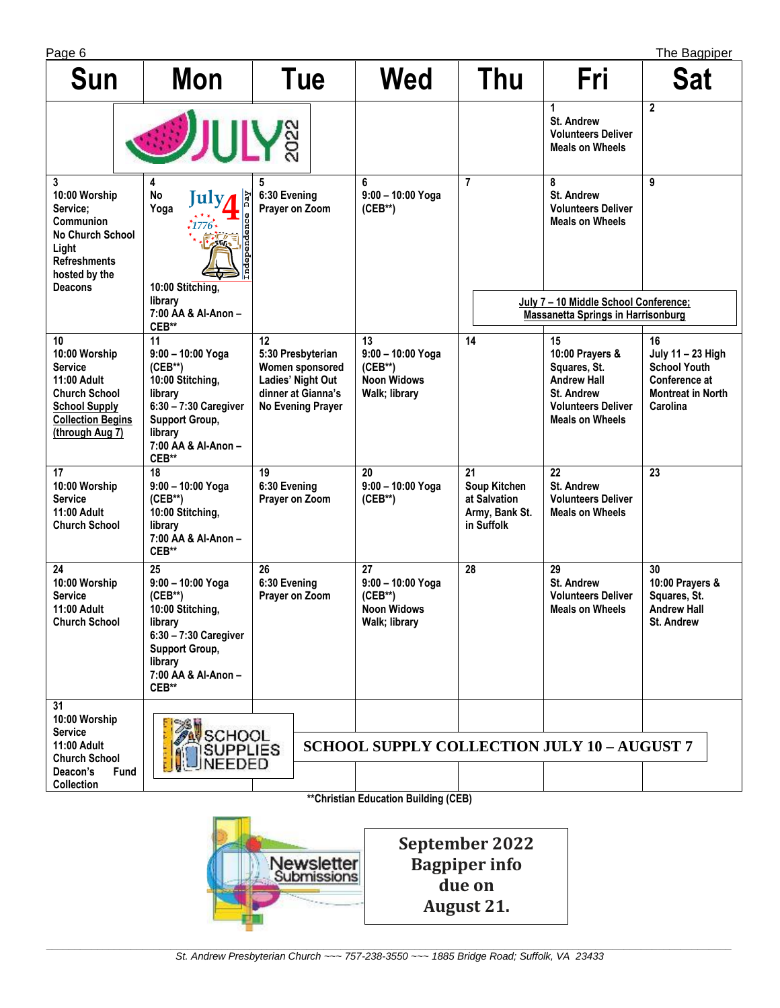| . (<br>÷. |  |
|-----------|--|
|           |  |

| The Bagpiper<br>Page 6                                                                                                                       |                                                                                                                                                                    |                                                                                                                   |                                                                               |                                                                    |                                                                                                                                         |                                                                                                         |  |
|----------------------------------------------------------------------------------------------------------------------------------------------|--------------------------------------------------------------------------------------------------------------------------------------------------------------------|-------------------------------------------------------------------------------------------------------------------|-------------------------------------------------------------------------------|--------------------------------------------------------------------|-----------------------------------------------------------------------------------------------------------------------------------------|---------------------------------------------------------------------------------------------------------|--|
| Sun                                                                                                                                          | <b>Mon</b>                                                                                                                                                         | Tue                                                                                                               | <b>Wed</b>                                                                    | Thu                                                                | Fri                                                                                                                                     | <b>Sat</b>                                                                                              |  |
| <b>SULY&amp;</b>                                                                                                                             |                                                                                                                                                                    |                                                                                                                   |                                                                               |                                                                    | 1<br><b>St. Andrew</b><br><b>Volunteers Deliver</b><br><b>Meals on Wheels</b>                                                           | $\overline{2}$                                                                                          |  |
| 3<br>10:00 Worship<br>Service;<br>Communion<br><b>No Church School</b><br>Light<br><b>Refreshments</b><br>hosted by the<br><b>Deacons</b>    | 4<br><b>No</b><br>$\overline{Day}$<br>Iulv.<br>Yoga<br>ependence<br>10:00 Stitching,                                                                               | 5<br>6:30 Evening<br>Prayer on Zoom                                                                               | 6<br>$9:00 - 10:00$ Yoga<br>$(CEB**)$                                         | $\overline{7}$                                                     | 8<br><b>St. Andrew</b><br><b>Volunteers Deliver</b><br><b>Meals on Wheels</b>                                                           | 9                                                                                                       |  |
|                                                                                                                                              | library<br>7:00 AA & Al-Anon -<br>CEB**                                                                                                                            |                                                                                                                   |                                                                               |                                                                    | July 7 - 10 Middle School Conference;<br><b>Massanetta Springs in Harrisonburg</b>                                                      |                                                                                                         |  |
| 10<br>10:00 Worship<br><b>Service</b><br>11:00 Adult<br>Church School<br><b>School Supply</b><br><b>Collection Begins</b><br>(through Aug 7) | 11<br>$9:00 - 10:00$ Yoga<br>$(CEB**)$<br>10:00 Stitching,<br>library<br>6:30 - 7:30 Caregiver<br><b>Support Group,</b><br>library<br>7:00 AA & Al-Anon -<br>CEB** | 12<br>5:30 Presbyterian<br>Women sponsored<br>Ladies' Night Out<br>dinner at Gianna's<br><b>No Evening Prayer</b> | 13<br>$9:00 - 10:00$ Yoga<br>$(CEB**)$<br><b>Noon Widows</b><br>Walk; library | 14                                                                 | 15<br>10:00 Prayers &<br>Squares, St.<br><b>Andrew Hall</b><br><b>St. Andrew</b><br><b>Volunteers Deliver</b><br><b>Meals on Wheels</b> | 16<br>July 11 - 23 High<br><b>School Youth</b><br>Conference at<br><b>Montreat in North</b><br>Carolina |  |
| 17<br>10:00 Worship<br><b>Service</b><br>11:00 Adult<br><b>Church School</b>                                                                 | 18<br>9:00 - 10:00 Yoga<br>$(CEB**)$<br>10:00 Stitching,<br>library<br>7:00 AA & Al-Anon -<br>CEB**                                                                | 19<br>6:30 Evening<br>Prayer on Zoom                                                                              | 20<br>9:00 - 10:00 Yoga<br>$(CEB**)$                                          | 21<br>Soup Kitchen<br>at Salvation<br>Army, Bank St.<br>in Suffolk | 22<br><b>St. Andrew</b><br><b>Volunteers Deliver</b><br><b>Meals on Wheels</b>                                                          | 23                                                                                                      |  |
| 24<br>10:00 Worship<br>Service<br>11:00 Adult<br>Church School                                                                               | 25<br>9:00 - 10:00 Yoga<br>$(CEB**)$<br>10:00 Stitching,<br>library<br>6:30 - 7:30 Caregiver<br>Support Group,<br>library<br>7:00 AA & Al-Anon -<br>CEB**          | 26<br>6:30 Evening<br>Prayer on Zoom                                                                              | 27<br>$9:00 - 10:00$ Yoga<br>$(CEB**)$<br><b>Noon Widows</b><br>Walk; library | 28                                                                 | 29<br><b>St. Andrew</b><br><b>Volunteers Deliver</b><br><b>Meals on Wheels</b>                                                          | 30<br>10:00 Prayers &<br>Squares, St.<br><b>Andrew Hall</b><br>St. Andrew                               |  |
| 31<br>10:00 Worship<br><b>Service</b><br>11:00 Adult<br><b>Church School</b>                                                                 | SCHOOL<br>SUPPLIES<br>NEEDED                                                                                                                                       |                                                                                                                   | <b>SCHOOL SUPPLY COLLECTION JULY 10 - AUGUST 7</b>                            |                                                                    |                                                                                                                                         |                                                                                                         |  |
| <b>Fund</b><br>Deacon's                                                                                                                      |                                                                                                                                                                    |                                                                                                                   |                                                                               |                                                                    |                                                                                                                                         |                                                                                                         |  |
| <b>Collection</b>                                                                                                                            |                                                                                                                                                                    |                                                                                                                   | <b>**Christian Education Building (CEB)</b>                                   |                                                                    |                                                                                                                                         |                                                                                                         |  |